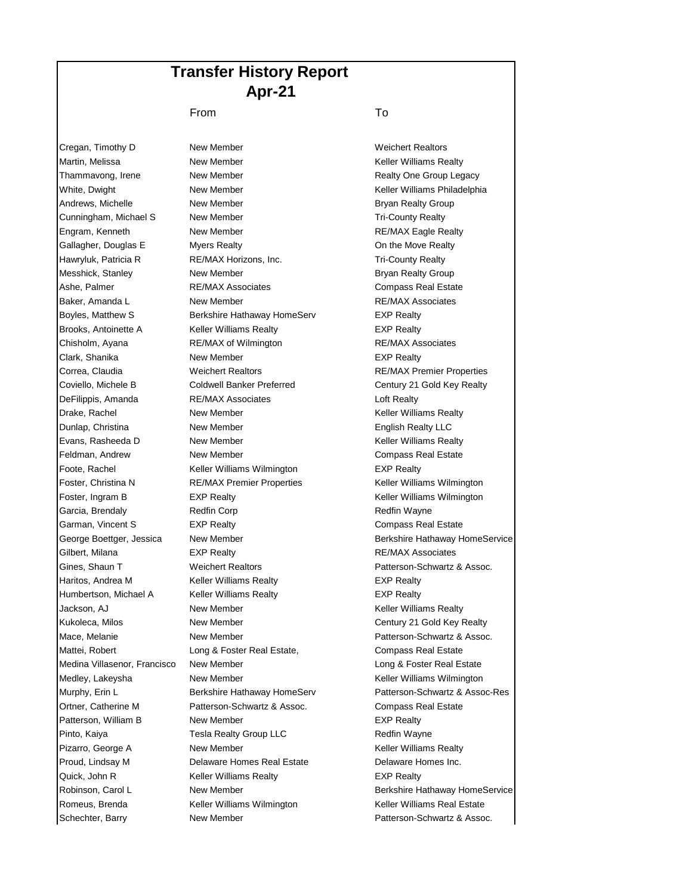## **Transfer History Report Apr-21**

## From To

Cregan, Timothy D New Member New York Cregan, Timothy D New Member Boyles, Matthew S Berkshire Hathaway HomeServ **EXP Realty** Brooks, Antoinette A Keller Williams Realty **EXP Realty** EXP Realty Clark, Shanika **New Member New Member EXP Realty** DeFilippis, Amanda RE/MAX Associates **REVALLS** Loft Realty Foote, Rachel **Keller Williams Wilmington** EXP Realty Haritos, Andrea M **Keller Williams Realty EXP Realty** Humbertson, Michael A Keller Williams Realty **EXP Realty** Patterson, William B New Member New Your EXP Realty Quick, John R **Keller Williams Realty Keller Williams Realty** 

Martin, Melissa **New Member** New Member **Keller Williams Realty** Thammavong, Irene **New Member New Member Realty One Group Legacy** White, Dwight New Member New Member Keller Williams Philadelphia Andrews, Michelle **New Member** Bryan Realty Group Cunningham, Michael S New Member New York Cunningham, Michael S Engram, Kenneth **New Member** RE/MAX Eagle Realty Gallagher, Douglas E Myers Realty **Myers Realty Contingly** On the Move Realty Hawryluk, Patricia R **RE/MAX Horizons, Inc.** Tri-County Realty Messhick, Stanley **New Member** New Member **Bryan Realty Group** Ashe, Palmer **RE/MAX Associates** Compass Real Estate Baker, Amanda L **New Member New Member RE/MAX Associates** Chisholm, Ayana RE/MAX of Wilmington RE/MAX Associates Correa, Claudia Weichert Realtors RE/MAX Premier Properties Coviello, Michele B Coldwell Banker Preferred Century 21 Gold Key Realty Drake, Rachel **New Member** New Member **Keller Williams Realty Dunlap, Christina Community Christian Community Christian New Member Christian Christian Christian Christian C** Evans, Rasheeda D **New Member** New The Communication of Keller Williams Realty Feldman, Andrew **New Member** Compass Real Estate Foster, Christina N **RE/MAX Premier Properties** Keller Williams Wilmington Foster, Ingram B EXP Realty **EXP Realty** Keller Williams Wilmington Garcia, Brendaly **Redfin Corp Communist Contract Contract Contract Contract Contract Contract Contract Contract Contract Contract Contract Contract Contract Contract Contract Contract Contract Contract Contract Contract Co** Garman, Vincent S EXP Realty Compass Real Estate George Boettger, Jessica Mew Member **Berkshire Hathaway HomeService** Berkshire Hathaway HomeService Gilbert, Milana **EXP Realty EXP Realty RE/MAX Associates** Gines, Shaun T **Weichert Realtors Patterson-Schwartz & Assoc.** Jackson, AJ **New Member** New Hember **Keller Williams Realty** Kukoleca, Milos **New Member** New Temper Century 21 Gold Key Realty Mace, Melanie **New Member** New Member **New York Constructs** Assoc. Mattei, Robert **Long & Foster Real Estate,** Compass Real Estate Medina Villasenor, Francisco New Member **Long & Foster Real Estate** Long & Foster Real Estate Medley, Lakeysha **New Member** New Member Keller Williams Wilmington Murphy, Erin L Berkshire Hathaway HomeServ Patterson-Schwartz & Assoc-Res Ortner, Catherine M **Patterson-Schwartz & Assoc.** Compass Real Estate Pinto, Kaiya **Tesla Realty Group LLC** Redfin Wayne Pizarro, George A **New Member** New Member **New Accommon Realty** Keller Williams Realty Proud, Lindsay M **Delaware Homes Real Estate** Delaware Homes Inc. Robinson, Carol L **New Member Berkshire Hathaway HomeService Berkshire Hathaway HomeService** Romeus, Brenda **Keller Williams Wilmington** Keller Williams Real Estate Schechter, Barry **New Member** New Member **Patterson-Schwartz & Assoc.**